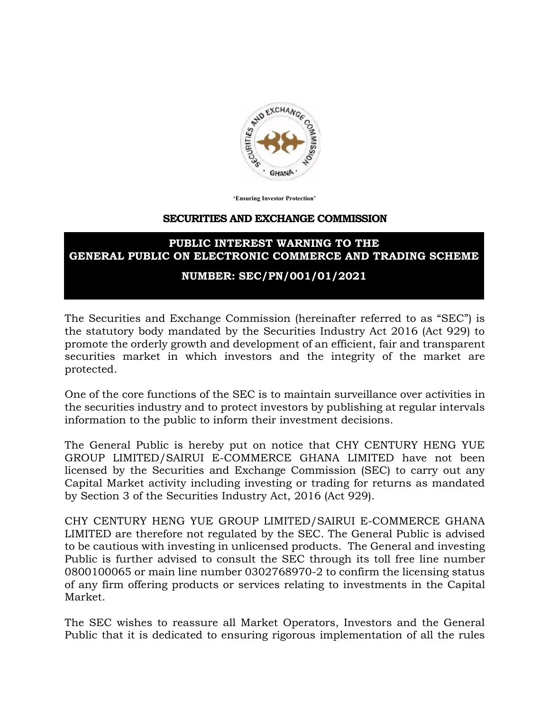

**'Ensuring Investor Protection'**

## **SECURITIES AND EXCHANGE COMMISSION**

## **PUBLIC INTEREST WARNING TO THE GENERAL PUBLIC ON ELECTRONIC COMMERCE AND TRADING SCHEME**

## **NUMBER: SEC/PN/001/01/2021**

The Securities and Exchange Commission (hereinafter referred to as "SEC") is the statutory body mandated by the Securities Industry Act 2016 (Act 929) to promote the orderly growth and development of an efficient, fair and transparent securities market in which investors and the integrity of the market are protected.

One of the core functions of the SEC is to maintain surveillance over activities in the securities industry and to protect investors by publishing at regular intervals information to the public to inform their investment decisions.

The General Public is hereby put on notice that CHY CENTURY HENG YUE GROUP LIMITED/SAIRUI E-COMMERCE GHANA LIMITED have not been licensed by the Securities and Exchange Commission (SEC) to carry out any Capital Market activity including investing or trading for returns as mandated by Section 3 of the Securities Industry Act, 2016 (Act 929).

CHY CENTURY HENG YUE GROUP LIMITED/SAIRUI E-COMMERCE GHANA LIMITED are therefore not regulated by the SEC. The General Public is advised to be cautious with investing in unlicensed products. The General and investing Public is further advised to consult the SEC through its toll free line number 0800100065 or main line number 0302768970-2 to confirm the licensing status of any firm offering products or services relating to investments in the Capital Market.

The SEC wishes to reassure all Market Operators, Investors and the General Public that it is dedicated to ensuring rigorous implementation of all the rules